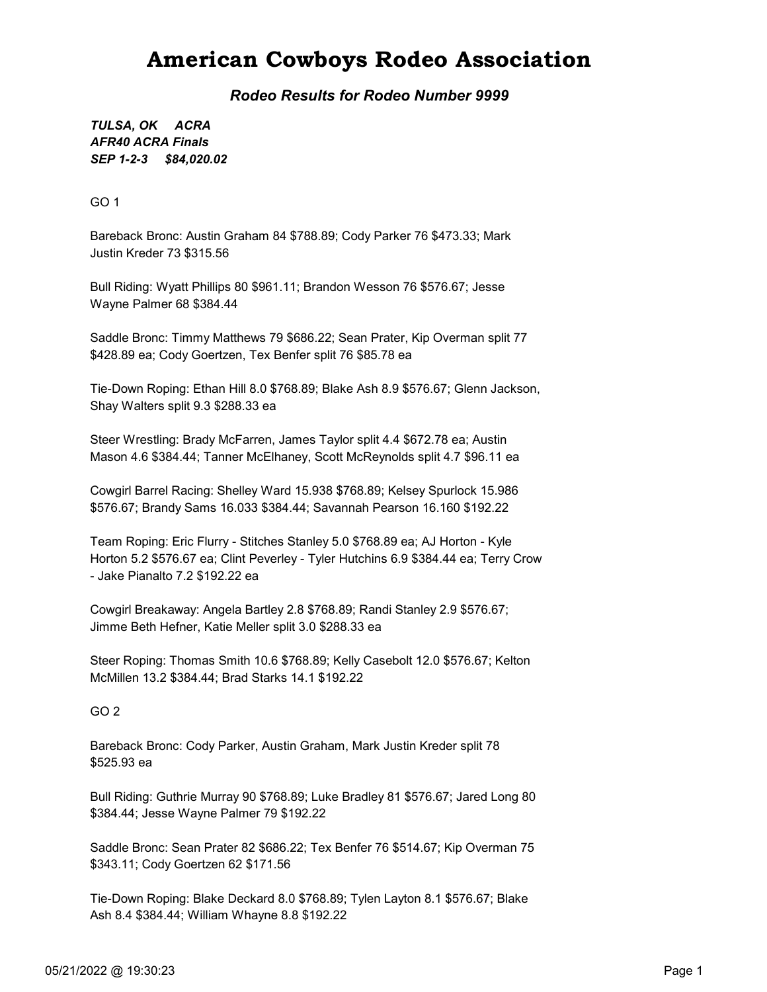### American Cowboys Rodeo Association

Rodeo Results for Rodeo Number 9999

SEP 1-2-3 \$84,020.02 TULSA, OK ACRA AFR40 ACRA Finals

GO 1

Bareback Bronc: Austin Graham 84 \$788.89; Cody Parker 76 \$473.33; Mark Justin Kreder 73 \$315.56

Bull Riding: Wyatt Phillips 80 \$961.11; Brandon Wesson 76 \$576.67; Jesse Wayne Palmer 68 \$384.44

Saddle Bronc: Timmy Matthews 79 \$686.22; Sean Prater, Kip Overman split 77 \$428.89 ea; Cody Goertzen, Tex Benfer split 76 \$85.78 ea

Tie-Down Roping: Ethan Hill 8.0 \$768.89; Blake Ash 8.9 \$576.67; Glenn Jackson, Shay Walters split 9.3 \$288.33 ea

Steer Wrestling: Brady McFarren, James Taylor split 4.4 \$672.78 ea; Austin Mason 4.6 \$384.44; Tanner McElhaney, Scott McReynolds split 4.7 \$96.11 ea

Cowgirl Barrel Racing: Shelley Ward 15.938 \$768.89; Kelsey Spurlock 15.986 \$576.67; Brandy Sams 16.033 \$384.44; Savannah Pearson 16.160 \$192.22

Team Roping: Eric Flurry - Stitches Stanley 5.0 \$768.89 ea; AJ Horton - Kyle Horton 5.2 \$576.67 ea; Clint Peverley - Tyler Hutchins 6.9 \$384.44 ea; Terry Crow - Jake Pianalto 7.2 \$192.22 ea

Cowgirl Breakaway: Angela Bartley 2.8 \$768.89; Randi Stanley 2.9 \$576.67; Jimme Beth Hefner, Katie Meller split 3.0 \$288.33 ea

Steer Roping: Thomas Smith 10.6 \$768.89; Kelly Casebolt 12.0 \$576.67; Kelton McMillen 13.2 \$384.44; Brad Starks 14.1 \$192.22

GO 2

Bareback Bronc: Cody Parker, Austin Graham, Mark Justin Kreder split 78 \$525.93 ea

Bull Riding: Guthrie Murray 90 \$768.89; Luke Bradley 81 \$576.67; Jared Long 80 \$384.44; Jesse Wayne Palmer 79 \$192.22

Saddle Bronc: Sean Prater 82 \$686.22; Tex Benfer 76 \$514.67; Kip Overman 75 \$343.11; Cody Goertzen 62 \$171.56

Tie-Down Roping: Blake Deckard 8.0 \$768.89; Tylen Layton 8.1 \$576.67; Blake Ash 8.4 \$384.44; William Whayne 8.8 \$192.22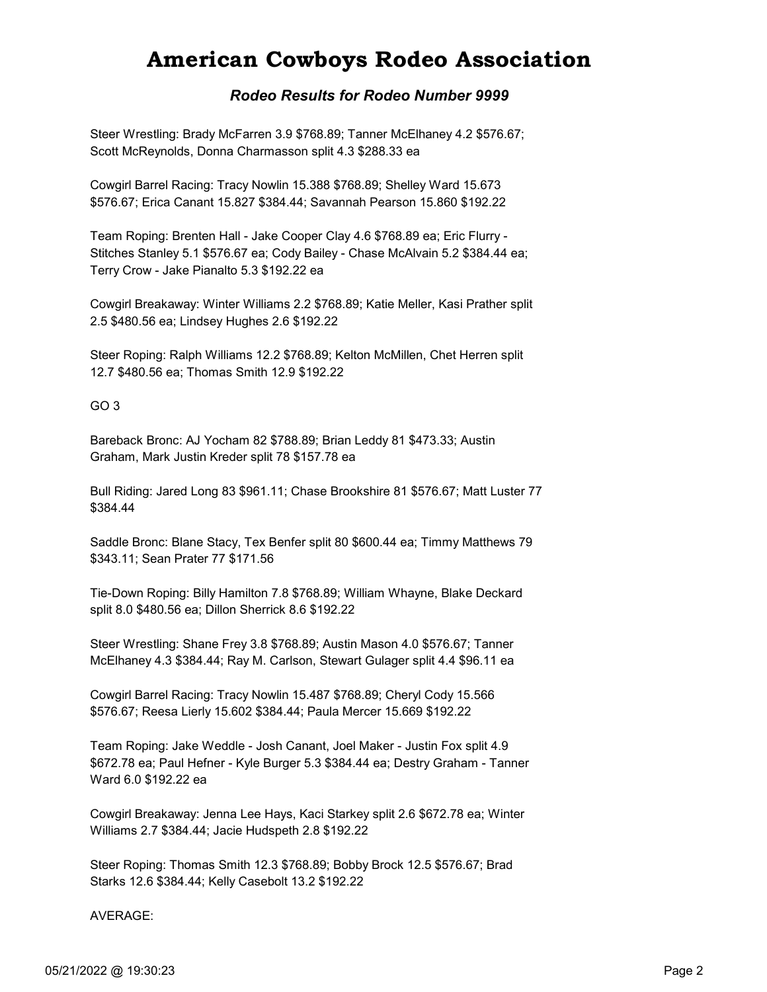## American Cowboys Rodeo Association

#### Rodeo Results for Rodeo Number 9999

Steer Wrestling: Brady McFarren 3.9 \$768.89; Tanner McElhaney 4.2 \$576.67; Scott McReynolds, Donna Charmasson split 4.3 \$288.33 ea

Cowgirl Barrel Racing: Tracy Nowlin 15.388 \$768.89; Shelley Ward 15.673 \$576.67; Erica Canant 15.827 \$384.44; Savannah Pearson 15.860 \$192.22

Team Roping: Brenten Hall - Jake Cooper Clay 4.6 \$768.89 ea; Eric Flurry - Stitches Stanley 5.1 \$576.67 ea; Cody Bailey - Chase McAlvain 5.2 \$384.44 ea; Terry Crow - Jake Pianalto 5.3 \$192.22 ea

Cowgirl Breakaway: Winter Williams 2.2 \$768.89; Katie Meller, Kasi Prather split 2.5 \$480.56 ea; Lindsey Hughes 2.6 \$192.22

Steer Roping: Ralph Williams 12.2 \$768.89; Kelton McMillen, Chet Herren split 12.7 \$480.56 ea; Thomas Smith 12.9 \$192.22

GO 3

Bareback Bronc: AJ Yocham 82 \$788.89; Brian Leddy 81 \$473.33; Austin Graham, Mark Justin Kreder split 78 \$157.78 ea

Bull Riding: Jared Long 83 \$961.11; Chase Brookshire 81 \$576.67; Matt Luster 77 \$384.44

Saddle Bronc: Blane Stacy, Tex Benfer split 80 \$600.44 ea; Timmy Matthews 79 \$343.11; Sean Prater 77 \$171.56

Tie-Down Roping: Billy Hamilton 7.8 \$768.89; William Whayne, Blake Deckard split 8.0 \$480.56 ea; Dillon Sherrick 8.6 \$192.22

Steer Wrestling: Shane Frey 3.8 \$768.89; Austin Mason 4.0 \$576.67; Tanner McElhaney 4.3 \$384.44; Ray M. Carlson, Stewart Gulager split 4.4 \$96.11 ea

Cowgirl Barrel Racing: Tracy Nowlin 15.487 \$768.89; Cheryl Cody 15.566 \$576.67; Reesa Lierly 15.602 \$384.44; Paula Mercer 15.669 \$192.22

Team Roping: Jake Weddle - Josh Canant, Joel Maker - Justin Fox split 4.9 \$672.78 ea; Paul Hefner - Kyle Burger 5.3 \$384.44 ea; Destry Graham - Tanner Ward 6.0 \$192.22 ea

Cowgirl Breakaway: Jenna Lee Hays, Kaci Starkey split 2.6 \$672.78 ea; Winter Williams 2.7 \$384.44; Jacie Hudspeth 2.8 \$192.22

Steer Roping: Thomas Smith 12.3 \$768.89; Bobby Brock 12.5 \$576.67; Brad Starks 12.6 \$384.44; Kelly Casebolt 13.2 \$192.22

AVERAGE: